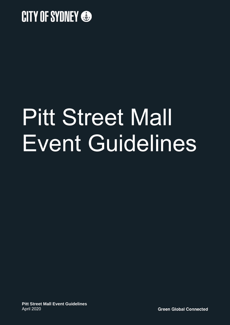

# Pitt Street Mall Event Guidelines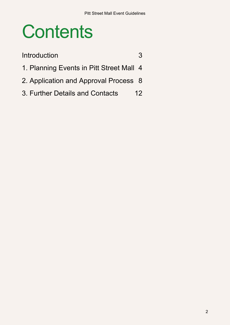## **Contents**

## [Introduction](#page-2-0) 3

- [1. Planning Events in Pitt Street Mall](#page-3-0) 4
- [2. Application and Approval Process](#page-7-0) 8
- [3. Further Details and Contacts](#page-11-0) 12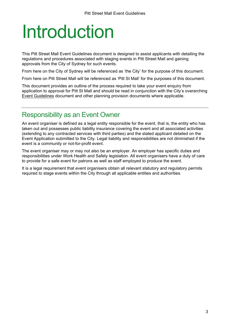## <span id="page-2-0"></span>Introduction

This Pitt Street Mall Event Guidelines document is designed to assist applicants with detailing the regulations and procedures associated with staging events in Pitt Street Mall and gaining approvals from the City of Sydney for such events.

From here on the City of Sydney will be referenced as 'the City' for the purpose of this document.

From here on Pitt Street Mall will be referenced as 'Pitt St Mall' for the purposes of this document.

This document provides an outline of the process required to take your event enquiry from application to approval for Pitt St Mall and should be read in conjunction with the City's overarching [Event Guidelines](https://www.cityofsydney.nsw.gov.au/__data/assets/pdf_file/0003/235830/Event-Guidelines-February-2018.pdf) document and other planning provision documents where applicable.

### Responsibility as an Event Owner

An event organiser is defined as a legal entity responsible for the event, that is, the entity who has taken out and possesses public liability insurance covering the event and all associated activities (extending to any contracted services with third parties) and the stated applicant detailed on the Event Application submitted to the City. Legal liability and responsibilities are not diminished if the event is a community or not-for-profit event.

The event organiser may or may not also be an employer. An employer has specific duties and responsibilities under Work Health and Safety legislation. All event organisers have a duty of care to provide for a safe event for patrons as well as staff employed to produce the event.

It is a legal requirement that event organisers obtain all relevant statutory and regulatory permits required to stage events within the City through all applicable entities and authorities.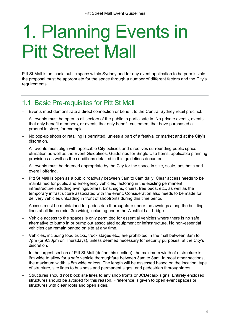## <span id="page-3-0"></span>1. Planning Events in Pitt Street Mall

Pitt St Mall is an iconic public space within Sydney and for any event application to be permissible the proposal must be appropriate for the space through a number of different factors and the City's requirements.

### 1.1. Basic Pre-requisites for Pitt St Mall

- Events must demonstrate a direct connection or benefit to the Central Sydney retail precinct.
- All events must be open to all sectors of the public to participate in. No private events, events that only benefit members, or events that only benefit customers that have purchased a product in store, for example.
- No pop-up shops or retailing is permitted, unless a part of a festival or market and at the City's discretion.
- All events must align with applicable City policies and directives surrounding public space utilisation as well as the Event Guidelines, Guidelines for Single Use Items, applicable planning provisions as well as the conditions detailed in this guidelines document.
- All events must be deemed appropriate by the City for the space in size, scale, aesthetic and overall offering.
- Pitt St Mall is open as a public roadway between 3am to 8am daily. Clear access needs to be maintained for public and emergency vehicles, factoring in the existing permanent infrastructure including awnings/pillars, bins, signs, chairs, tree beds, etc., as well as the temporary infrastructure associated with the event. Consideration also needs to be made for delivery vehicles unloading in front of shopfronts during this time period.
- Access must be maintained for pedestrian thoroughfare under the awnings along the building lines at all times (min. 3m wide), including under the Westfield air bridge.
- Vehicle access to the spaces is only permitted for essential vehicles where there is no safe alternative to bump in or bump out associated equipment or infrastructure. No non-essential vehicles can remain parked on site at any time.
- Vehicles, including food trucks, truck stages etc., are prohibited in the mall between 8am to 7pm (or 9:30pm on Thursdays), unless deemed necessary for security purposes, at the City's discretion.
- In the largest section of Pitt St Mall (define this section), the maximum width of a structure is 6m wide to allow for a safe vehicle thoroughfare between 3am to 8am. In most other sections, the maximum width is 5m wide or less. The length will be assessed based on the location, type of structure, site lines to business and permanent signs, and pedestrian thoroughfares.
- Structures should not block site lines to any shop fronts or JCDecaux signs. Entirely enclosed structures should be avoided for this reason. Preference is given to open event spaces or structures with clear roofs and open sides.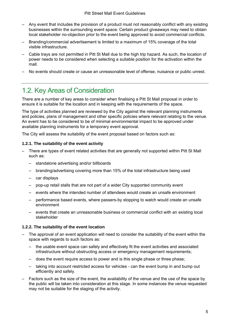- Any event that includes the provision of a product must not reasonably conflict with any existing businesses within the surrounding event space. Certain product giveaways may need to obtain local stakeholder no-objection prior to the event being approved to avoid commercial conflicts.
- Branding/commercial advertisement is limited to a maximum of 15% coverage of the total visible infrastructure.
- Cable trays are not permitted in Pitt St Mall due to the high trip hazard. As such, the location of power needs to be considered when selecting a suitable position for the activation within the mall.
- No events should create or cause an unreasonable level of offense, nuisance or public unrest.

### 1.2. Key Areas of Consideration

There are a number of key areas to consider when finalising a Pitt St Mall proposal in order to ensure it is suitable for the location and in keeping with the requirements of the space.

The type of activities planned are reviewed by the City against the relevant planning instruments and policies, plans of management and other specific policies where relevant relating to the venue. An event has to be considered to be of minimal environmental impact to be approved under available planning instruments for a temporary event approval.

The City will assess the suitability of the event proposal based on factors such as:

#### **1.2.1. The suitability of the event activity**

- There are types of event related activities that are generally not supported within Pitt St Mall such as:
	- standalone advertising and/or billboards
	- branding/advertising covering more than 15% of the total infrastructure being used
	- car displays
	- pop-up retail stalls that are not part of a wider City supported community event
	- events where the intended number of attendees would create an unsafe environment
	- performance based events, where passers-by stopping to watch would create an unsafe environment
	- events that create an unreasonable business or commercial conflict with an existing local stakeholder

#### **1.2.2. The suitability of the event location**

- The approval of an event application will need to consider the suitability of the event within the space with regards to such factors as:
	- the usable event space can safely and effectively fit the event activities and associated infrastructure without obstructing access or emergency management requirements;
	- does the event require access to power and is this single phase or three phase;
	- taking into account restricted access for vehicles can the event bump in and bump out efficiently and safely.
- Factors such as the size of the event, the availability of the venue and the use of the space by the public will be taken into consideration at this stage. In some instances the venue requested may not be suitable for the staging of the activity.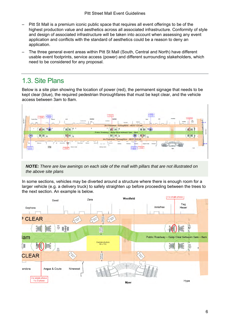- Pitt St Mall is a premium iconic public space that requires all event offerings to be of the highest production value and aesthetics across all associated infrastructure. Conformity of style and design of associated infrastructure will be taken into account when assessing any event application and conflicts with the standard of aesthetics could be a reason to deny an application.
- The three general event areas within Pitt St Mall (South, Central and North) have different usable event footprints, service access (power) and different surrounding stakeholders, which need to be considered for any proposal.

## 1.3. Site Plans

Below is a site plan showing the location of power (red), the permanent signage that needs to be kept clear (blue), the required pedestrian thoroughfares that must be kept clear, and the vehicle access between 3am to 8am.



*NOTE: There are low awnings on each side of the mall with pillars that are not illustrated on the above site plans*

In some sections, vehicles may be diverted around a structure where there is enough room for a larger vehicle (e.g. a delivery truck) to safely straighten up before proceeding between the trees to the next section. An example is below.

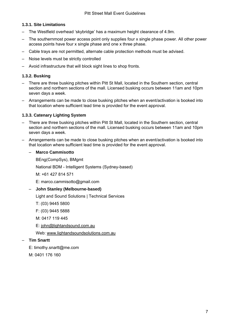#### **1.3.1. Site Limitations**

- The Westfield overhead 'skybridge' has a maximum height clearance of 4.9m.
- The southernmost power access point only supplies four x single phase power. All other power access points have four x single phase and one x three phase.
- Cable trays are not permitted, alternate cable protection methods must be advised.
- Noise levels must be strictly controlled
- Avoid infrastructure that will block sight lines to shop fronts.

#### **1.3.2. Busking**

- There are three busking pitches within Pitt St Mall, located in the Southern section, central section and northern sections of the mall. Licensed busking occurs between 11am and 10pm seven days a week.
- Arrangements can be made to close busking pitches when an event/activation is booked into that location where sufficient lead time is provided for the event approval.

#### **1.3.3. Catenary Lighting System**

- There are three busking pitches within Pitt St Mall, located in the Southern section, central section and northern sections of the mall. Licensed busking occurs between 11am and 10pm seven days a week.
- Arrangements can be made to close busking pitches when an event/activation is booked into that location where sufficient lead time is provided for the event approval.

#### – **Marco Cammisotto**

BEng(CompSys), BMgmt

National BDM - Intelligent Systems (Sydney-based)

M: +61 427 814 571

E: marco.cammisotto@gmail.com

#### – **John Stanley (Melbourne-based)**

Light and Sound Solutions | Technical Services

T: (03) 9445 5800

F: (03) 9445 5888

M: 0417 119 445

E: [john@lightandsound.com.au](mailto:john@lightandsound.com.au)

Web: [www.lightandsoundsolutions.com.au](http://www.lightandsoundsolutions.com.au/)

#### – **Tim Snartt**

E: timothy.snartt@me.com

M: 0401 176 160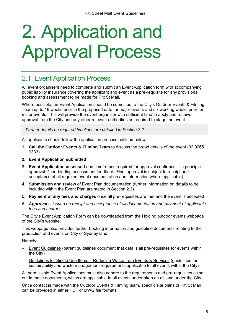## <span id="page-7-0"></span>2. Application and Approval Process

### 2.1. Event Application Process

All event organisers need to complete and submit an Event Application form with accompanying public liability insurance covering the applicant and event as a pre-requisite for any provisional booking and assessment to be made for Pitt St Mall.

Where possible, an Event Application should be submitted to the City's Outdoor Events & Filming Team up to 16 weeks prior to the proposed date for major events and six working weeks prior for minor events. This will provide the event organiser with sufficient time to apply and receive approval from the City and any other relevant authorities as required to stage the event.

*Further details on required timelines are detailed in Section 2.2.*

All applicants should follow the application process outlined below:

- 1. **Call the Outdoor Events & Filming Team** to discuss the broad details of the event (02 9265 9333)
- **2. Event Application submitted**
- 3. **Event Application assessed** and timeframes required for approval confirmed in principle approval (\*non-binding assessment feedback. Final approval is subject to receipt and acceptance of all required event documentation and information where applicable)
- 4. **Submission and review** of Event Plan documentation (further information on details to be included within the Event Plan are stated in Section 2.3)
- 5. **Payment of any fees and charges** once all pre-requisites are met and the event is accepted
- *6. Approval is issued on receipt and acceptance of all documentation and payment of applicable fees and charges.*

The City's [Event Application Form](https://www.cityofsydney.nsw.gov.au/__data/assets/pdf_file/0018/128124/Event-Application.pdf) can be downloaded from the [Holding outdoor events webpage](https://www.cityofsydney.nsw.gov.au/business/doing-business-with-us/regulations/holding-outdoor-events) of the City's website.

This webpage also provides further booking information and guideline documents relating to the production and events on City of Sydney land.

Namely:

- [Event Guidelines](https://www.cityofsydney.nsw.gov.au/__data/assets/pdf_file/0003/235830/Event-Guidelines-February-2018.pdf) (parent guidelines document that details all pre-requisites for events within the City)
- Guidelines for Single Use Items [Reducing Waste from Events & Services](https://www.cityofsydney.nsw.gov.au/__data/assets/pdf_file/0020/313175/Reducing-waste-from-events-and-services_Guidelines-for-single-use-items.pdf) (guidelines for sustainability and waste management requirements applicable to all events within the City)

All permissible Event Applications must also adhere to the requirements and pre-requisites as set out in these documents, which are applicable to all events undertaken on all land under the City.

Once contact is made with the Outdoor Events & Filming team, specific site plans of Pitt St Mall can be provided in either PDF or DWG file formats.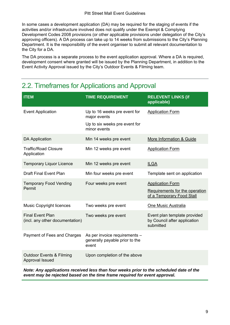In some cases a development application (DA) may be required for the staging of events if the activities and/or infrastructure involved does not qualify under the Exempt & Complying Development Codes 2008 provisions (or other applicable provisions under delegation of the City's approving officers). A DA process can take up to 14 weeks from submissions to the City's Planning Department. It is the responsibility of the event organiser to submit all relevant documentation to the City for a DA.

The DA process is a separate process to the event application approval. Where a DA is required, development consent where granted will be issued by the Planning Department, in addition to the Event Activity Approval issued by the City's Outdoor Events & Filming team.

| <b>ITEM</b>                                                | <b>TIME REQUIREMENT</b>                                                                       | <b>RELEVENT LINKS (if</b><br>applicable)                                               |
|------------------------------------------------------------|-----------------------------------------------------------------------------------------------|----------------------------------------------------------------------------------------|
| <b>Event Application</b>                                   | Up to 16 weeks pre event for<br>major events<br>Up to six weeks pre event for<br>minor events | <b>Application Form</b>                                                                |
| <b>DA Application</b>                                      | Min 14 weeks pre event                                                                        | More Information & Guide                                                               |
| <b>Traffic/Road Closure</b><br>Application                 | Min 12 weeks pre event                                                                        | <b>Application Form</b>                                                                |
| <b>Temporary Liquor Licence</b>                            | Min 12 weeks pre event                                                                        | <b>ILGA</b>                                                                            |
| <b>Draft Final Event Plan</b>                              | Min four weeks pre event                                                                      | Template sent on application                                                           |
| <b>Temporary Food Vending</b><br>Permit                    | Four weeks pre event                                                                          | <b>Application Form</b><br>Requirements for the operation<br>of a Temporary Food Stall |
| <b>Music Copyright licences</b>                            | Two weeks pre event                                                                           | <b>One Music Australia</b>                                                             |
| <b>Final Event Plan</b><br>(incl. any other documentation) | Two weeks pre event                                                                           | Event plan template provided<br>by Council after application<br>submitted              |
| Payment of Fees and Charges                                | As per invoice requirements -<br>generally payable prior to the<br>event                      |                                                                                        |
| <b>Outdoor Events &amp; Filming</b><br>Approval Issued     | Upon completion of the above                                                                  |                                                                                        |

## 2.2. Timeframes for Applications and Approval

*Note: Any applications received less than four weeks prior to the scheduled date of the event may be rejected based on the time frame required for event approval.*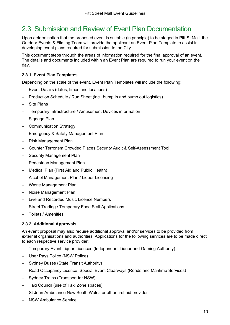## 2.3. Submission and Review of Event Plan Documentation

Upon determination that the proposed event is suitable (in principle) to be staged in Pitt St Mall, the Outdoor Events & Filming Team will provide the applicant an Event Plan Template to assist in developing event plans required for submission to the City.

This document steps through the areas of information required for the final approval of an event. The details and documents included within an Event Plan are required to run your event on the day.

#### **2.3.1. Event Plan Templates**

Depending on the scale of the event, Event Plan Templates will include the following:

- Event Details (dates, times and locations)
- Production Schedule / Run Sheet (incl. bump in and bump out logistics)
- Site Plans
- Temporary Infrastructure / Amusement Devices information
- Signage Plan
- Communication Strategy
- Emergency & Safety Management Plan
- Risk Management Plan
- Counter Terrorism Crowded Places Security Audit & Self-Assessment Tool
- Security Management Plan
- Pedestrian Management Plan
- Medical Plan (First Aid and Public Health)
- Alcohol Management Plan / Liquor Licensing
- Waste Management Plan
- Noise Management Plan
- Live and Recorded Music Licence Numbers
- Street Trading / Temporary Food Stall Applications
- Toilets / Amenities

#### **2.3.2. Additional Approvals**

An event proposal may also require additional approval and/or services to be provided from external organisations and authorities. Applications for the following services are to be made direct to each respective service provider:

- Temporary Event Liquor Licences (Independent Liquor and Gaming Authority)
- User Pays Police (NSW Police)
- Sydney Buses (State Transit Authority)
- Road Occupancy Licence, Special Event Clearways (Roads and Maritime Services)
- Sydney Trains (Transport for NSW)
- Taxi Council (use of Taxi Zone spaces)
- St John Ambulance New South Wales or other first aid provider
- NSW Ambulance Service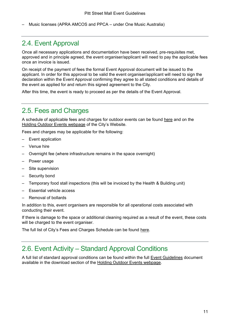– Music licenses (APRA AMCOS and PPCA – under One Music Australia)

## 2.4. Event Approval

Once all necessary applications and documentation have been received, pre-requisites met, approved and in principle agreed, the event organiser/applicant will need to pay the applicable fees once an invoice is issued.

On receipt of the payment of fees the formal Event Approval document will be issued to the applicant. In order for this approval to be valid the event organiser/applicant will need to sign the declaration within the Event Approval confirming they agree to all stated conditions and details of the event as applied for and return this signed agreement to the City.

After this time, the event is ready to proceed as per the details of the Event Approval.

## 2.5. Fees and Charges

A schedule of applicable fees and charges for outdoor events can be found [here](https://www.cityofsydney.nsw.gov.au/business/doing-business-with-us/regulations/holding-outdoor-events/fees-charges-outdoor-venue-hire) and on the [Holding Outdoor Events webpage](https://www.cityofsydney.nsw.gov.au/business/doing-business-with-us/regulations/holding-outdoor-events/fees-charges-outdoor-venue-hire) of the City's Website.

Fees and charges may be applicable for the following:

- Event application
- Venue hire
- Overnight fee (where infrastructure remains in the space overnight)
- Power usage
- Site supervision
- Security bond
- Temporary food stall inspections (this will be invoiced by the Health & Building unit)
- Essential vehicle access
- Removal of bollards

In addition to this, event organisers are responsible for all operational costs associated with conducting their event.

If there is damage to the space or additional cleaning required as a result of the event, these costs will be charged to the event organiser.

The full list of City's Fees and Charges Schedule can be found [here.](http://www.cityofsydney.nsw.gov.au/council/our-responsibilities/fees-and-charges)

### 2.6. Event Activity – Standard Approval Conditions

A full list of standard approval conditions can be found within the full [Event Guidelines](https://www.cityofsydney.nsw.gov.au/__data/assets/pdf_file/0003/235830/Event-Guidelines-February-2018.pdfhttps:/www.cityofsydney.nsw.gov.au/__data/assets/pdf_file/0003/235830/Event-Guidelines-February-2018.pdf) document available in the download section of the [Holding Outdoor Events webpage.](https://www.cityofsydney.nsw.gov.au/business/doing-business-with-us/regulations/holding-outdoor-events/fees-charges-outdoor-venue-hire)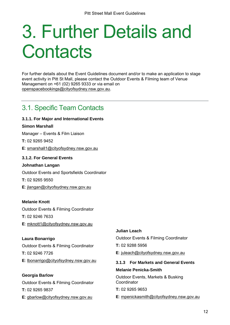## <span id="page-11-0"></span>3. Further Details and **Contacts**

For further details about the Event Guidelines document and/or to make an application to stage event activity in Pitt St Mall, please contact the Outdoor Events & Filming team of Venue Management on +61 (02) 9265 9333 or via email on [openspacebookings@cityofsydney.nsw.gov.au.](mailto:openspacebookings@cityofsydney.nsw.gov.au)

## 3.1. Specific Team Contacts

### **3.1.1. For Major and International Events Simon Marshall** Manager – Events & Film Liaison **T:** 02 9265 9452 **E**: [smarshall1@cityofsydney.nsw.gov.au](mailto:smarshall1@cityofsydney.nsw.gov.au) **3.1.2. For General Events Johnathan Langan** Outdoor Events and Sportsfields Coordinator **T:** 02 9265 9550 **E**: [jlangan@cityofsydney.nsw.gov.au](mailto:jlangan@cityofsydney.nsw.gov.au)

#### **Melanie Knott** Outdoor Events & Filming Coordinator **T:** 02 9246 7633 **E**: [mknott1@cityofsydney.nsw.gov.au](mailto:mknott1@cityofsydney.nsw.gov.au)

**Laura Bonarrigo** Outdoor Events & Filming Coordinator **T:** 02 9246 7726

**E**: [lbonarrigo@cityofsydney.nsw.gov.au](mailto:lbonarrigo@cityofsydney.nsw.gov.au)

**Georgia Barlow** Outdoor Events & Filming Coordinator **T:** 02 9265 9837 **E**: [gbarlow@cityofsydney.nsw.gov.au](mailto:gbarlow@cityofsydney.nsw.gov.au)

#### **Julian Leach**

Outdoor Events & Filming Coordinator

**T:** 02 9288 5956

**E**: [juleach@cityofsydney.nsw.gov.au](mailto:juleach@cityofsydney.nsw.gov.au)

## **3.1.3 For Markets and General Events**

#### **Melanie Penicka-Smith**

Outdoor Events, Markets & Busking Coordinator

**T:** 02 9265 9653

**E**: [mpenickasmith@cityofsydney.nsw.gov.au](mailto:mpenickasmith@cityofsydney.nsw.gov.au)